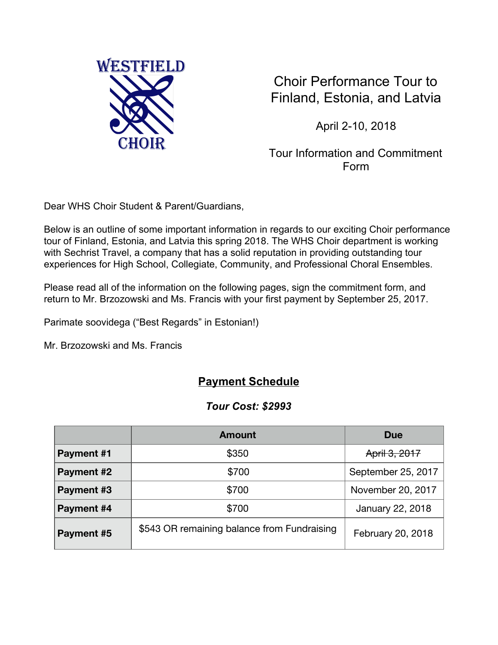

Choir Performance Tour to Finland, Estonia, and Latvia

April 2-10, 2018

Tour Information and Commitment Form

Dear WHS Choir Student & Parent/Guardians,

Below is an outline of some important information in regards to our exciting Choir performance tour of Finland, Estonia, and Latvia this spring 2018. The WHS Choir department is working with Sechrist Travel, a company that has a solid reputation in providing outstanding tour experiences for High School, Collegiate, Community, and Professional Choral Ensembles.

Please read all of the information on the following pages, sign the commitment form, and return to Mr. Brzozowski and Ms. Francis with your first payment by September 25, 2017.

Parimate soovidega ("Best Regards" in Estonian!)

Mr. Brzozowski and Ms. Francis

# **Payment Schedule**

#### *Tour Cost: \$2993*

|            | <b>Amount</b>                               | <b>Due</b>         |
|------------|---------------------------------------------|--------------------|
| Payment #1 | \$350                                       | April 3, 2017      |
| Payment #2 | \$700                                       | September 25, 2017 |
| Payment #3 | \$700                                       | November 20, 2017  |
| Payment #4 | \$700                                       | January 22, 2018   |
| Payment #5 | \$543 OR remaining balance from Fundraising | February 20, 2018  |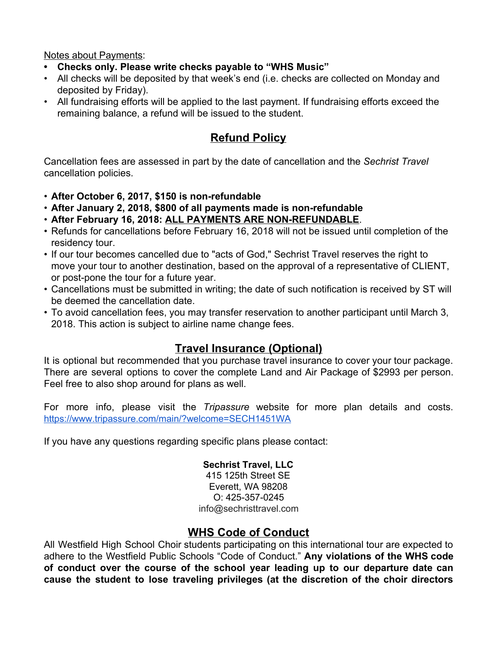Notes about Payments:

- **• Checks only. Please write checks payable to "WHS Music"**
- All checks will be deposited by that week's end (i.e. checks are collected on Monday and deposited by Friday).
- All fundraising efforts will be applied to the last payment. If fundraising efforts exceed the remaining balance, a refund will be issued to the student.

# **Refund Policy**

Cancellation fees are assessed in part by the date of cancellation and the *Sechrist Travel* cancellation policies.

- **After October 6, 2017, \$150 is non-refundable**
- **After January 2, 2018, \$800 of all payments made is non-refundable**
- **After February 16, 2018: ALL PAYMENTS ARE NON-REFUNDABLE**.
- Refunds for cancellations before February 16, 2018 will not be issued until completion of the residency tour.
- If our tour becomes cancelled due to "acts of God," Sechrist Travel reserves the right to move your tour to another destination, based on the approval of a representative of CLIENT, or post-pone the tour for a future year.
- Cancellations must be submitted in writing; the date of such notification is received by ST will be deemed the cancellation date.
- To avoid cancellation fees, you may transfer reservation to another participant until March 3, 2018. This action is subject to airline name change fees.

# **Travel Insurance (Optional)**

It is optional but recommended that you purchase travel insurance to cover your tour package. There are several options to cover the complete Land and Air Package of \$2993 per person. Feel free to also shop around for plans as well.

For more info, please visit the *Tripassure* website for more plan details and costs. <https://www.tripassure.com/main/?welcome=SECH1451WA>

If you have any questions regarding specific plans please contact:

#### **Sechrist Travel, LLC**

415 125th Street SE Everett, WA 98208 O: 425-357-0245 info@sechristtravel.com

### **WHS Code of Conduct**

All Westfield High School Choir students participating on this international tour are expected to adhere to the Westfield Public Schools "Code of Conduct." **Any violations of the WHS code of conduct over the course of the school year leading up to our departure date can cause the student to lose traveling privileges (at the discretion of the choir directors**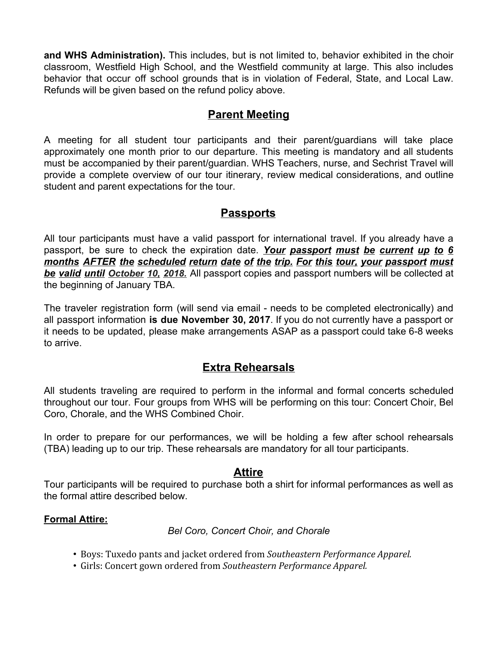**and WHS Administration).** This includes, but is not limited to, behavior exhibited in the choir classroom, Westfield High School, and the Westfield community at large. This also includes behavior that occur off school grounds that is in violation of Federal, State, and Local Law. Refunds will be given based on the refund policy above.

# **Parent Meeting**

A meeting for all student tour participants and their parent/guardians will take place approximately one month prior to our departure. This meeting is mandatory and all students must be accompanied by their parent/guardian. WHS Teachers, nurse, and Sechrist Travel will provide a complete overview of our tour itinerary, review medical considerations, and outline student and parent expectations for the tour.

### **Passports**

All tour participants must have a valid passport for international travel. If you already have a passport, be sure to check the expiration date. *Your passport must be current up to 6 months AFTER the scheduled return date of the trip. For this tour, your passport must be valid until October 10, 2018.* All passport copies and passport numbers will be collected at the beginning of January TBA.

The traveler registration form (will send via email - needs to be completed electronically) and all passport information **is due November 30, 2017**. If you do not currently have a passport or it needs to be updated, please make arrangements ASAP as a passport could take 6-8 weeks to arrive.

# **Extra Rehearsals**

All students traveling are required to perform in the informal and formal concerts scheduled throughout our tour. Four groups from WHS will be performing on this tour: Concert Choir, Bel Coro, Chorale, and the WHS Combined Choir.

In order to prepare for our performances, we will be holding a few after school rehearsals (TBA) leading up to our trip. These rehearsals are mandatory for all tour participants.

### **Attire**

Tour participants will be required to purchase both a shirt for informal performances as well as the formal attire described below.

#### **Formal Attire:**

*Bel Coro, Concert Choir, and Chorale*

- *•* Boys: Tuxedo pants and jacket ordered from *Southeastern Performance Apparel.*
- *•* Girls: Concert gown ordered from *Southeastern Performance Apparel.*